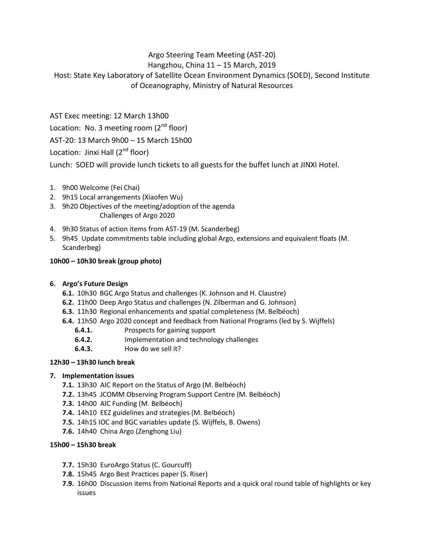# Argo Steering Team Meeting (AST-20)

## Hangzhou, China 11 – 15 March, 2019

Host: State Key Laboratory of Satellite Ocean Environment Dynamics (SOED), Second Institute of Oceanography, Ministry of Natural Resources

AST Exec meeting: 12 March 13h00

Location: No. 3 meeting room  $(2^{nd}$  floor)

AST-20: 13 March 9h00 – 15 March 15h00

Location: Jinxi Hall  $(2^{nd}$  floor)

Lunch: SOED will provide lunch tickets to all guests for the buffet lunch at JINXI Hotel.

- 1. 9h00 Welcome (Fei Chai)
- 2. 9h15 Local arrangements (Xiaofen Wu)
- 3. 9h20 Objectives of the meeting/adoption of the agenda Challenges of Argo 2020
- 4. 9h30 Status of action items from AST-19 (M. Scanderbeg)
- 5. 9h45 Update commitments table including global Argo, extensions and equivalent floats (M. Scanderbeg)

## **10h00 – 10h30 break (group photo)**

### **6. Argo's Future Design**

- **6.1.** 10h30 BGC Argo Status and challenges (K. Johnson and H. Claustre)
- **6.2.** 11h00 Deep Argo Status and challenges (N. Zilberman and G. Johnson)
- **6.3.** 11h30 Regional enhancements and spatial completeness (M. Belbéoch)
- **6.4.** 11h50 Argo 2020 concept and feedback from National Programs (led by S. Wijffels)
	- **6.4.1.** Prospects for gaining support
	- **6.4.2.** Implementation and technology challenges
	- **6.4.3.** How do we sell it?

## **12h30 – 13h30 lunch break**

### **7. Implementation issues**

- **7.1.** 13h30 AIC Report on the Status of Argo (M. Belbéoch)
- **7.2.** 13h45 JCOMM Observing Program Support Centre (M. Belbéoch)
- **7.3.** 14h00 AIC Funding (M. Belbéoch)
- **7.4.** 14h10 EEZ guidelines and strategies (M. Belbéoch)
- **7.5.** 14h15 IOC and BGC variables update (S. Wijffels, B. Owens)
- **7.6.** 14h40 China Argo (Zenghong Liu)

## **15h00 – 15h30 break**

- **7.7.** 15h30 EuroArgo Status (C. Gourcuff)
- **7.8.** 15h45 Argo Best Practices paper (S. Riser)
- **7.9.** 16h00 Discussion items from National Reports and a quick oral round table of highlights or key issues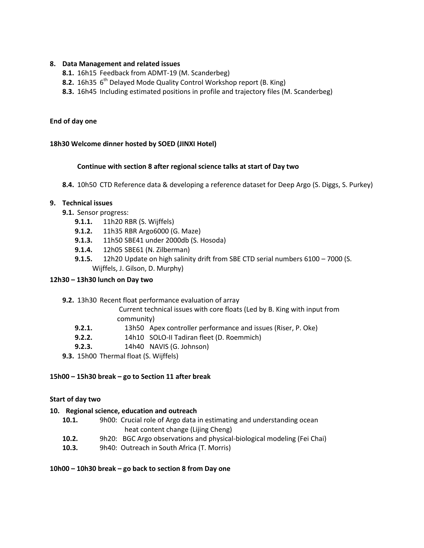### **8. Data Management and related issues**

- **8.1.** 16h15 Feedback from ADMT-19 (M. Scanderbeg)
- **8.2.** 16h35 6<sup>th</sup> Delayed Mode Quality Control Workshop report (B. King)
- **8.3.** 16h45 Including estimated positions in profile and trajectory files (M. Scanderbeg)

### **End of day one**

### **18h30 Welcome dinner hosted by SOED (JINXI Hotel)**

### **Continue with section 8 after regional science talks at start of Day two**

**8.4.** 10h50 CTD Reference data & developing a reference dataset for Deep Argo (S. Diggs, S. Purkey)

### **9. Technical issues**

- **9.1.** Sensor progress:
	- **9.1.1.** 11h20 RBR (S. Wijffels)
	- **9.1.2.** 11h35 RBR Argo6000 (G. Maze)
	- **9.1.3.** 11h50 SBE41 under 2000db (S. Hosoda)
	- **9.1.4.**12h05 SBE61 (N. Zilberman)
	- **9.1.5.** 12h20 Update on high salinity drift from SBE CTD serial numbers 6100 7000 (S. Wijffels, J. Gilson, D. Murphy)

#### **12h30 – 13h30 lunch on Day two**

**9.2.** 13h30 Recent float performance evaluation of array

Current technical issues with core floats (Led by B. King with input from community)

- **9.2.1.** 13h50 Apex controller performance and issues (Riser, P. Oke)
- **9.2.2.** 14h10 SOLO-II Tadiran fleet (D. Roemmich)
- **9.2.3.** 14h40 NAVIS (G. Johnson)
- **9.3.** 15h00 Thermal float (S. Wijffels)

#### **15h00 – 15h30 break – go to Section 11 after break**

#### **Start of day two**

### **10. Regional science, education and outreach**

- **10.1.** 9h00: Crucial role of Argo data in estimating and understanding ocean heat content change (Lijing Cheng)
- **10.2.** 9h20: BGC Argo observations and physical-biological modeling (Fei Chai)
- **10.3.** 9h40: Outreach in South Africa (T. Morris)

#### **10h00 – 10h30 break – go back to section 8 from Day one**